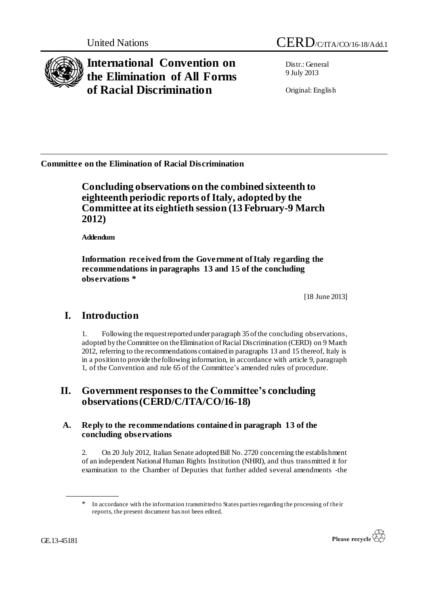

**International Convention on the Elimination of All Forms of Racial Discrimination**

Distr.: General 9 July 2013

Original: English

**Committee on the Elimination of Racial Discrimination** 

## **Concluding observations on the combined sixteenth to eighteenth periodic reports of Italy, adopted by the Committee at its eightieth session (13 February-9 March 2012)**

**Addendum**

**Information received from the Government of Italy regarding the recommendations in paragraphs 13 and 15 of the concluding observations \***

[18 June 2013]

# **I. Introduction**

1. Following the request reported under paragraph 35 of the concluding observations, adopted by the Committee on the Elimination of Racial Discrimination (CERD) on 9 March 2012, referring to the recommendations contained in paragraphs 13 and 15 thereof, Italy is in a position to provide the following information, in accordance with article 9, paragraph 1, of the Convention and rule 65 of the Committee's amended rules of procedure.

## **II. Government responses to the Committee's concluding observations(CERD/C/ITA/CO/16-18)**

#### **A. Reply to the recommendations contained in paragraph 13 of the concluding observations**

2. On 20 July 2012, Italian Senate adopted Bill No. 2720 concerning the establishment of an independent National Human Rights Institution (NHRI), and thus transmitted it for examination to the Chamber of Deputies that further added several amendments -the

<sup>\*</sup> In accordance with the information transmitted to States parties regarding the processing of their reports, the present document has not been edited.

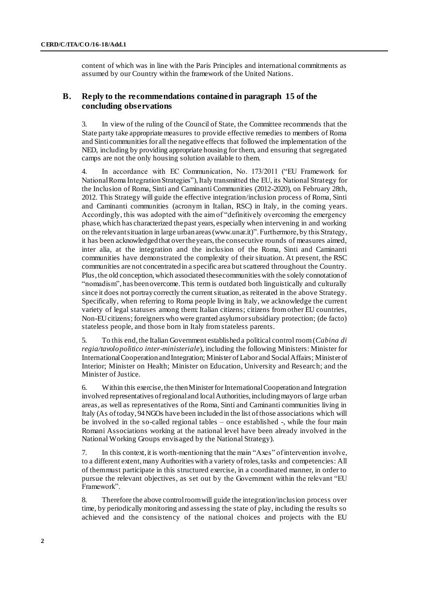content of which was in line with the Paris Principles and international commitments as assumed by our Country within the framework of the United Nations.

#### **B. Reply to the recommendations contained in paragraph 15 of the concluding observations**

3. In view of the ruling of the Council of State, the Committee recommends that the State party take appropriate measures to provide effective remedies to members of Roma and Sinti communities for all the negative effects that followed the implementation of the NED, including by providing appropriate housing for them, and ensuring that segregated camps are not the only housing solution available to them.

4. In accordance with EC Communication, No. 173/2011 ("EU Framework for National Roma Integration Strategies"), Italy transmitted the EU, its National Strategy for the Inclusion of Roma, Sinti and Caminanti Communities (2012-2020), on February 28th, 2012. This Strategy will guide the effective integration/inclusion process of Roma, Sinti and Caminanti communities (acronym in Italian, RSC) in Italy, in the coming years. Accordingly, this was adopted with the aim of "definitively overcoming the emergency phase, which has characterized the past years, especially when intervening in and working on the relevant situation in large urban areas [\(www.unar.it\)"](http://www.unar.it)/). Furthermore, by this Strategy, it has been acknowledged that over the years, the consecutive rounds of measures aimed, inter alia, at the integration and the inclusion of the Roma, Sinti and Caminanti communities have demonstrated the complexity of their situation. At present, the RSC communities are not concentrated in a specific area but scattered throughout the Country. Plus, the old conception, which associated these communities with the solely connotation of "nomadism", has been overcome. This term is outdated both linguistically and culturally since it does not portray correctly the current situation, as reiterated in the above Strategy. Specifically, when referring to Roma people living in Italy, we acknowledge the curren t variety of legal statuses among them: Italian citizens; citizens from other EU countries, Non-EU citizens; foreigners who were granted asylum or subsidiary protection; (de facto) stateless people, and those born in Italy from stateless parents.

5. To this end, the Italian Government established a political control room (*Cabina di regia/tavolo politico inter-ministeriale*), including the following Ministers: Minister for International Cooperation and Integration; Minister of Labor and Social Affairs; Minister of Interior; Minister on Health; Minister on Education, University and Research; and the Minister of Justice.

6. Within this exercise, the then Minister for International Cooperation and Integration involved representatives of regional and local Authorities, including mayors of large urban areas, as well as representatives of the Roma, Sinti and Caminanti communities living in Italy (As of today, 94 NGOs have been included in the list of those associations which will be involved in the so-called regional tables – once established -, while the four main Romani Associations working at the national level have been already involved in the National Working Groups envisaged by the National Strategy).

7. In this context, it is worth-mentioning that the main "Axes" of intervention involve, to a different extent, many Authorities with a variety of roles, tasks and competencies: All of them must participate in this structured exercise, in a coordinated manner, in order to pursue the relevant objectives, as set out by the Government within the relevant "EU Framework".

8. Therefore the above control room will guide the integration/inclusion process over time, by periodically monitoring and assessing the state of play, including the results so achieved and the consistency of the national choices and projects with the EU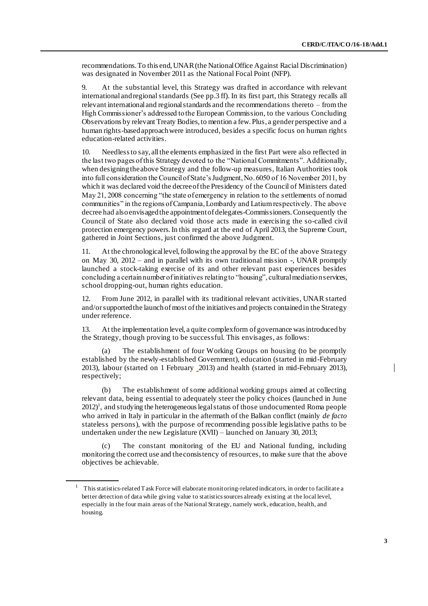recommendations. To this end, UNAR (the National Office Against Racial Discrimination) was designated in November 2011 as the National Focal Point (NFP).

9. At the substantial level, this Strategy was drafted in accordance with relevant international and regional standards (See pp.3 ff). In its first part, this Strategy recalls all relevant international and regional standards and the recommendations thereto – from the High Commissioner's addressed to the European Commission, to the various Concluding Observations by relevant Treaty Bodies, to mention a few. Plus, a gender perspective and a human rights-based approach were introduced, besides a specific focus on human rights education-related activities.

10. Needless to say, all the elements emphasized in the first Part were also reflected in the last two pages of this Strategy devoted to the "National Commitments". Additionally, when designing the above Strategy and the follow-up measures, Italian Authorities took into full consideration the Council of State's Judgment, No. 6050 of 16 November 2011, by which it was declared void the decree of the Presidency of the Council of Ministers dated May 21, 2008 concerning "the state of emergency in relation to the settlements of nomad communities" in the regions of Campania, Lombardy and Latium respectively. The above decree had also envisaged the appointment of delegates-Commissioners. Consequently the Council of State also declared void those acts made in exercising the so-called civil protection emergency powers. In this regard at the end of April 2013, the Supreme Court, gathered in Joint Sections, just confirmed the above Judgment.

11. At the chronological level, following the approval by the EC of the above Strategy on May 30, 2012 – and in parallel with its own traditional mission -, UNAR promptly launched a stock-taking exercise of its and other relevant past experiences besides concluding a certain number of initiatives relating to "housing", cultural mediation services, school dropping-out, human rights education.

12. From June 2012, in parallel with its traditional relevant activities, UNAR started and/or supported the launch of most of the initiatives and projects contained in the Strategy under reference.

13. At the implementation level, a quite complex form of governance was introduced by the Strategy, though proving to be successful. This envisages, as follows:

The establishment of four Working Groups on housing (to be promptly established by the newly-established Government), education (started in mid-February 2013), labour (started on 1 February 2013) and health (started in mid-February 2013), respectively;

(b) The establishment of some additional working groups aimed at collecting relevant data, being essential to adequately steer the policy choices (launched in June  $2012$ <sup>1</sup>, and studying the heterogeneous legal status of those undocumented Roma people who arrived in Italy in particular in the aftermath of the Balkan conflict (mainly *de facto* stateless persons), with the purpose of recommending possible legislative paths to be undertaken under the new Legislature (XVII) – launched on January 30, 2013;

The constant monitoring of the EU and National funding, including monitoring the correct use and the consistency of resources, to make sure that the above objectives be achievable.

<sup>&</sup>lt;sup>1</sup> This statistics-related Task Force will elaborate monitoring-related indicators, in order to facilitate a better detection of data while giving value to statistics sources already existing at the local level, especially in the four main areas of the National Strategy, namely work, education, health, and housing.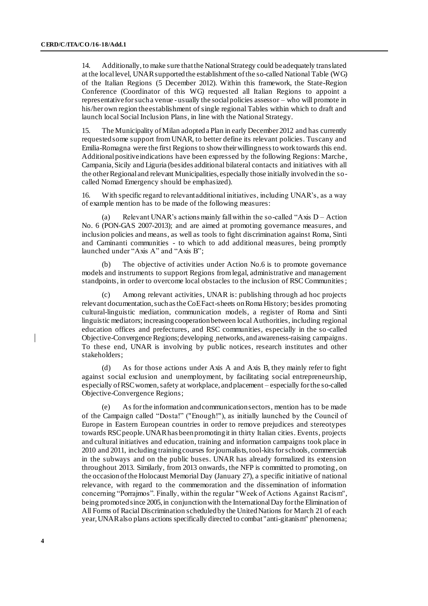14. Additionally, to make sure that the National Strategy could be adequately translated at the local level, UNAR supported the establishment of the so-called National Table (WG) of the Italian Regions (5 December 2012). Within this framework, the State-Region Conference (Coordinator of this WG) requested all Italian Regions to appoint a representative for such a venue - usually the social policies assessor – who will promote in his/her own region the establishment of single regional Tables within which to draft and launch local Social Inclusion Plans, in line with the National Strategy.

15. The Municipality of Milan adopted a Plan in early December 2012 and has currently requested some support from UNAR, to better define its relevant policies. Tuscany and Emilia-Romagna were the first Regions to show their willingness to work towards this end. Additional positive indications have been expressed by the following Regions: Marche, Campania, Sicily and Liguria (besides additional bilateral contacts and initiatives with all the other Regional and relevant Municipalities, especially those initially involved in the socalled Nomad Emergency should be emphasized).

16. With specific regard to relevant additional initiatives, including UNAR's, as a way of example mention has to be made of the following measures:

(a) Relevant UNAR's actions mainly fall within the so-called "Axis  $D -$ Action" No. 6 (PON-GAS 2007-2013); and are aimed at promoting governance measures, and inclusion policies and means, as well as tools to fight discrimination against Roma, Sinti and Caminanti communities - to which to add additional measures, being promptly launched under "Axis A" and "Axis B";

(b) The objective of activities under Action No.6 is to promote governance models and instruments to support Regions from legal, administrative and management standpoints, in order to overcome local obstacles to the inclusion of RSC Communities;

(c) Among relevant activities, UNAR is: publishing through ad hoc projects relevant documentation, such as the CoE Fact-sheets on Roma History; besides promoting cultural-linguistic mediation, communication models, a register of Roma and Sinti linguistic mediators; increasing cooperation between local Authorities, including regional education offices and prefectures, and RSC communities, especially in the so -called Objective-Convergence Regions; developing networks, and awareness-raising campaigns. To these end, UNAR is involving by public notices, research institutes and other stakeholders;

(d) As for those actions under Axis A and Axis B, they mainly refer to fight against social exclusion and unemployment, by facilitating social entrepreneurship, especially of RSC women, safety at workplace, and placement – especially for the so-called Objective-Convergence Regions;

(e) As for the information and communication sectors, mention has to be made of the Campaign called "Dosta!" ("Enough!"), as initially launched by the Council of Europe in Eastern European countries in order to remove prejudices and stereotypes towards RSC people. UNAR has been promoting it in thirty Italian cities. Events, projects and cultural initiatives and education, training and information campaigns took place in 2010 and 2011, including training courses for journalists, tool-kits for schools, commercials in the subways and on the public buses. UNAR has already formalized its extension throughout 2013. Similarly, from 2013 onwards, the NFP is committed to promoting, on the occasion of the Holocaust Memorial Day (January 27), a specific initiative of national relevance, with regard to the commemoration and the dissemination of information concerning "Porrajmos". Finally, within the regular "Week of Actions Against Racism", being promoted since 2005, in conjunction with the International Day for the Elimination of All Forms of Racial Discrimination scheduled by the United Nations for March 21 of each year, UNAR also plans actions specifically directed to combat "anti-gitanism" phenomena;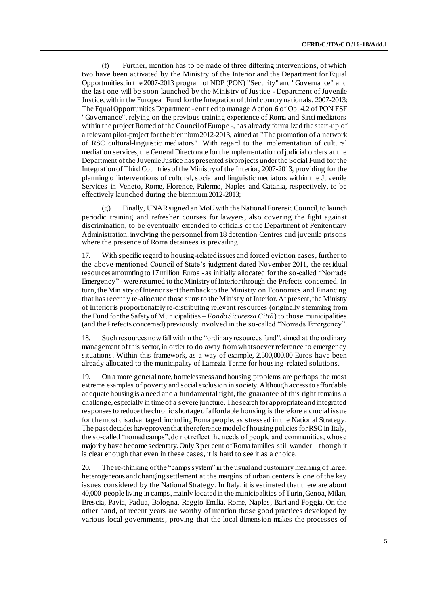(f) Further, mention has to be made of three differing interventions, of which two have been activated by the Ministry of the Interior and the Department for Equal Opportunities, in the 2007-2013 program of NDP (PON) "Security" and "Governance" and the last one will be soon launched by the Ministry of Justice - Department of Juvenile Justice, within the European Fund for the Integration of third country nationals, 2007-2013: The Equal Opportunities Department - entitled to manage Action 6 of Ob. 4.2 of PON ESF "Governance", relying on the previous training experience of Roma and Sinti mediators within the project Romed of the Council of Europe -, has already formalized the start-up of a relevant pilot-project for the biennium 2012-2013, aimed at "The promotion of a network of RSC cultural-linguistic mediators". With regard to the implementation of cultural mediation services, the General Directorate for the implementation of judicial orders at the Department of the Juvenile Justice has presented six projects under the Social Fund for the Integration of Third Countries of the Ministry of the Interior, 2007-2013, providing for the planning of interventions of cultural, social and linguistic mediators within the Juvenile Services in Veneto, Rome, Florence, Palermo, Naples and Catania, respectively, to be effectively launched during the biennium 2012-2013;

Finally, UNAR signed an MoU with the National Forensic Council, to launch periodic training and refresher courses for lawyers, also covering the fight against discrimination, to be eventually extended to officials of the Department of Penitentiary Administration, involving the personnel from 18 detention Centres and juvenile prisons where the presence of Roma detainees is prevailing.

17. With specific regard to housing-related issues and forced eviction cases, further to the above-mentioned Council of State's judgment dated November 2011, the residual resources amounting to 17 million Euros - as initially allocated for the so-called "Nomads Emergency" -were returned to the Ministry of Interior through the Prefects concerned. In turn, the Ministry of Interior sent them back to the Ministry on Economics and Financing that has recently re-allocated those sums to the Ministry of Interior. At present, the Ministry of Interior is proportionately re-distributing relevant resources (originally stemming from the Fund for the Safety of Municipalities – *Fondo Sicurezza Città*) to those municipalities (and the Prefects concerned) previously involved in the so-called "Nomads Emergency".

18. Such resources now fall within the "ordinary resources fund", aimed at the ordinary management of this sector, in order to do away from whatsoever reference to emergency situations. Within this framework, as a way of example, 2,500,000.00 Euros have been already allocated to the municipality of Lamezia Terme for housing-related solutions.

19. On a more general note, homelessness and housing problems are perhaps the most extreme examples of poverty and social exclusion in society. Although access to affordable adequate housing is a need and a fundamental right, the guarantee of this right remains a challenge, especially in time of a severe juncture. The search for appropriate and integrated responses to reduce the chronic shortage of affordable housing is therefore a crucial issue for the most disadvantaged, including Roma people, as stressed in the National Strategy. The past decades have proven that the reference model of housing policies for RSC in Italy, the so-called "nomad camps", do not reflect the needs of people and communities, whose majority have become sedentary. Only 3 per cent of Roma families still wander – though it is clear enough that even in these cases, it is hard to see it as a choice.

20. The re-thinking of the "camps system" in the usual and customary meaning of large, heterogeneous and changing settlement at the margins of urban centers is one of the key issues considered by the National Strategy. In Italy, it is estimated that there are about 40,000 people living in camps, mainly located in the municipalities of Turin, Genoa, Milan, Brescia, Pavia, Padua, Bologna, Reggio Emilia, Rome, Naples, Bari and Foggia. On the other hand, of recent years are worthy of mention those good practices developed by various local governments, proving that the local dimension makes the processes of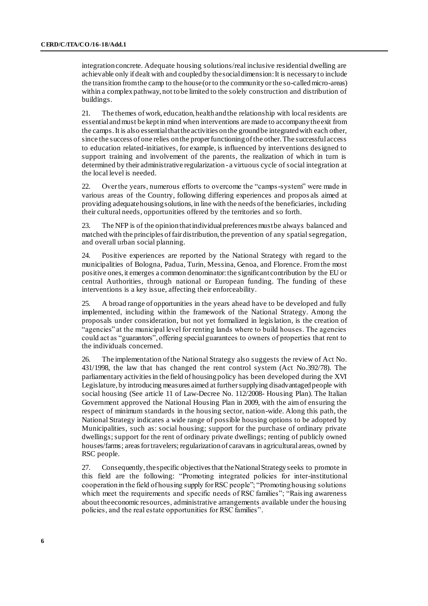integration concrete. Adequate housing solutions/real inclusive residential dwelling are achievable only if dealt with and coupled by the social dimension: It is necessary to include the transition from the camp to the house (or to the community or the so-called micro-areas) within a complex pathway, not to be limited to the solely construction and distribution of buildings.

21. The themes of work, education, health and the relationship with local residents are essential and must be kept in mind when interventions are made to accompany the exit from the camps. It is also essential that the activities on the ground be integrated with each other, since the success of one relies on the proper functioning of the other. The successful access to education related-initiatives, for example, is influenced by interventions designed to support training and involvement of the parents, the realization of which in turn is determined by their administrative regularization - a virtuous cycle of social integration at the local level is needed.

22. Over the years, numerous efforts to overcome the "camps-system" were made in various areas of the Country, following differing experiences and propos als aimed at providing adequate housing solutions, in line with the needs of the beneficiaries, including their cultural needs, opportunities offered by the territories and so forth.

23. The NFP is of the opinion that individual preferences must be always balanced and matched with the principles of fair distribution, the prevention of any spatial segregation, and overall urban social planning.

24. Positive experiences are reported by the National Strategy with regard to the municipalities of Bologna, Padua, Turin, Messina, Genoa, and Florence. From the most positive ones, it emerges a common denominator: the significant contribution by the EU or central Authorities, through national or European funding. The funding of these interventions is a key issue, affecting their enforceability.

25. A broad range of opportunities in the years ahead have to be developed and fully implemented, including within the framework of the National Strategy. Among the proposals under consideration, but not yet formalized in legislation, is the creation of "agencies" at the municipal level for renting lands where to build houses. The agencies could act as "guarantors", offering special guarantees to owners of properties that rent to the individuals concerned.

26. The implementation of the National Strategy also suggests the review of Act No. 431/1998, the law that has changed the rent control system (Act No.392/78). The parliamentary activities in the field of housing policy has been developed during the XVI Legislature, by introducing measures aimed at further supplying disadvantaged people with social housing (See article 11 of Law-Decree No. 112/2008- Housing Plan). The Italian Government approved the National Housing Plan in 2009, with the aim of ensuring the respect of minimum standards in the housing sector, nation-wide. Along this path, the National Strategy indicates a wide range of possible housing options to be adopted by Municipalities, such as: social housing; support for the purchase of ordinary private dwellings; support for the rent of ordinary private dwellings; renting of publicly owned houses/farms; areas for travelers; regularization of caravans in agricultural areas, owned by RSC people.

27. Consequently, the specific objectives that the National Strategy seeks to promote in this field are the following: "Promoting integrated policies for inter-institutional cooperation in the field of housing supply for RSC people"; "Promoting housing solutions which meet the requirements and specific needs of RSC families"; "Raising awareness about the economic resources, administrative arrangements available under the housing policies, and the real estate opportunities for RSC families".